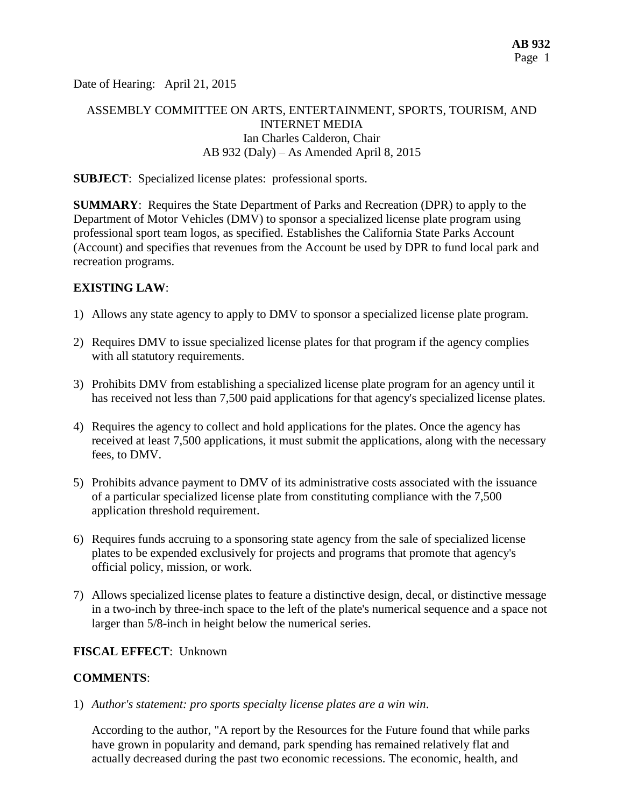Date of Hearing: April 21, 2015

# ASSEMBLY COMMITTEE ON ARTS, ENTERTAINMENT, SPORTS, TOURISM, AND INTERNET MEDIA Ian Charles Calderon, Chair AB 932 (Daly) – As Amended April 8, 2015

## **SUBJECT**: Specialized license plates: professional sports.

**SUMMARY**: Requires the State Department of Parks and Recreation (DPR) to apply to the Department of Motor Vehicles (DMV) to sponsor a specialized license plate program using professional sport team logos, as specified. Establishes the California State Parks Account (Account) and specifies that revenues from the Account be used by DPR to fund local park and recreation programs.

## **EXISTING LAW**:

- 1) Allows any state agency to apply to DMV to sponsor a specialized license plate program.
- 2) Requires DMV to issue specialized license plates for that program if the agency complies with all statutory requirements.
- 3) Prohibits DMV from establishing a specialized license plate program for an agency until it has received not less than 7,500 paid applications for that agency's specialized license plates.
- 4) Requires the agency to collect and hold applications for the plates. Once the agency has received at least 7,500 applications, it must submit the applications, along with the necessary fees, to DMV.
- 5) Prohibits advance payment to DMV of its administrative costs associated with the issuance of a particular specialized license plate from constituting compliance with the 7,500 application threshold requirement.
- 6) Requires funds accruing to a sponsoring state agency from the sale of specialized license plates to be expended exclusively for projects and programs that promote that agency's official policy, mission, or work.
- 7) Allows specialized license plates to feature a distinctive design, decal, or distinctive message in a two-inch by three-inch space to the left of the plate's numerical sequence and a space not larger than 5/8-inch in height below the numerical series.

## **FISCAL EFFECT**: Unknown

## **COMMENTS**:

1) *Author's statement: pro sports specialty license plates are a win win*.

According to the author, "A report by the Resources for the Future found that while parks have grown in popularity and demand, park spending has remained relatively flat and actually decreased during the past two economic recessions. The economic, health, and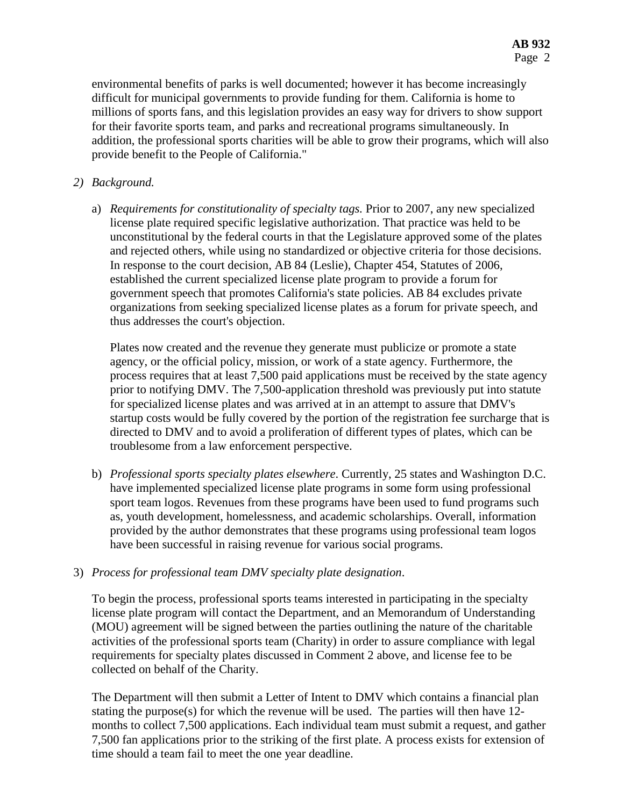environmental benefits of parks is well documented; however it has become increasingly difficult for municipal governments to provide funding for them. California is home to millions of sports fans, and this legislation provides an easy way for drivers to show support for their favorite sports team, and parks and recreational programs simultaneously. In addition, the professional sports charities will be able to grow their programs, which will also provide benefit to the People of California."

# *2) Background.*

a) *Requirements for constitutionality of specialty tags.* Prior to 2007, any new specialized license plate required specific legislative authorization. That practice was held to be unconstitutional by the federal courts in that the Legislature approved some of the plates and rejected others, while using no standardized or objective criteria for those decisions. In response to the court decision, AB 84 (Leslie), Chapter 454, Statutes of 2006, established the current specialized license plate program to provide a forum for government speech that promotes California's state policies. AB 84 excludes private organizations from seeking specialized license plates as a forum for private speech, and thus addresses the court's objection.

Plates now created and the revenue they generate must publicize or promote a state agency, or the official policy, mission, or work of a state agency. Furthermore, the process requires that at least 7,500 paid applications must be received by the state agency prior to notifying DMV. The 7,500-application threshold was previously put into statute for specialized license plates and was arrived at in an attempt to assure that DMV's startup costs would be fully covered by the portion of the registration fee surcharge that is directed to DMV and to avoid a proliferation of different types of plates, which can be troublesome from a law enforcement perspective.

b) *Professional sports specialty plates elsewhere*. Currently, 25 states and Washington D.C. have implemented specialized license plate programs in some form using professional sport team logos. Revenues from these programs have been used to fund programs such as, youth development, homelessness, and academic scholarships. Overall, information provided by the author demonstrates that these programs using professional team logos have been successful in raising revenue for various social programs.

## 3) *Process for professional team DMV specialty plate designation*.

To begin the process, professional sports teams interested in participating in the specialty license plate program will contact the Department, and an Memorandum of Understanding (MOU) agreement will be signed between the parties outlining the nature of the charitable activities of the professional sports team (Charity) in order to assure compliance with legal requirements for specialty plates discussed in Comment 2 above, and license fee to be collected on behalf of the Charity.

The Department will then submit a Letter of Intent to DMV which contains a financial plan stating the purpose(s) for which the revenue will be used. The parties will then have 12 months to collect 7,500 applications. Each individual team must submit a request, and gather 7,500 fan applications prior to the striking of the first plate. A process exists for extension of time should a team fail to meet the one year deadline.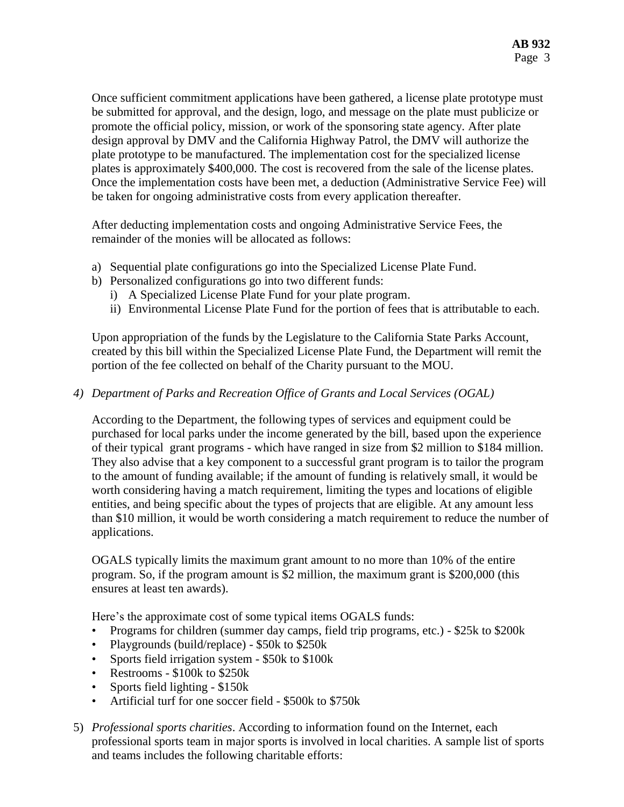Once sufficient commitment applications have been gathered, a license plate prototype must be submitted for approval, and the design, logo, and message on the plate must publicize or promote the official policy, mission, or work of the sponsoring state agency. After plate design approval by DMV and the California Highway Patrol, the DMV will authorize the plate prototype to be manufactured. The implementation cost for the specialized license plates is approximately \$400,000. The cost is recovered from the sale of the license plates. Once the implementation costs have been met, a deduction (Administrative Service Fee) will be taken for ongoing administrative costs from every application thereafter.

After deducting implementation costs and ongoing Administrative Service Fees, the remainder of the monies will be allocated as follows:

- a) Sequential plate configurations go into the Specialized License Plate Fund.
- b) Personalized configurations go into two different funds:
	- i) A Specialized License Plate Fund for your plate program.
	- ii) Environmental License Plate Fund for the portion of fees that is attributable to each.

Upon appropriation of the funds by the Legislature to the California State Parks Account, created by this bill within the Specialized License Plate Fund, the Department will remit the portion of the fee collected on behalf of the Charity pursuant to the MOU.

## *4) Department of Parks and Recreation Office of Grants and Local Services (OGAL)*

According to the Department, the following types of services and equipment could be purchased for local parks under the income generated by the bill, based upon the experience of their typical grant programs - which have ranged in size from \$2 million to \$184 million. They also advise that a key component to a successful grant program is to tailor the program to the amount of funding available; if the amount of funding is relatively small, it would be worth considering having a match requirement, limiting the types and locations of eligible entities, and being specific about the types of projects that are eligible. At any amount less than \$10 million, it would be worth considering a match requirement to reduce the number of applications.

OGALS typically limits the maximum grant amount to no more than 10% of the entire program. So, if the program amount is \$2 million, the maximum grant is \$200,000 (this ensures at least ten awards).

Here's the approximate cost of some typical items OGALS funds:

- Programs for children (summer day camps, field trip programs, etc.) \$25k to \$200k
- Playgrounds (build/replace) \$50k to \$250k
- Sports field irrigation system \$50k to \$100k
- Restrooms \$100k to \$250k
- Sports field lighting \$150k
- Artificial turf for one soccer field \$500k to \$750k
- 5) *Professional sports charities*. According to information found on the Internet, each professional sports team in major sports is involved in local charities. A sample list of sports and teams includes the following charitable efforts: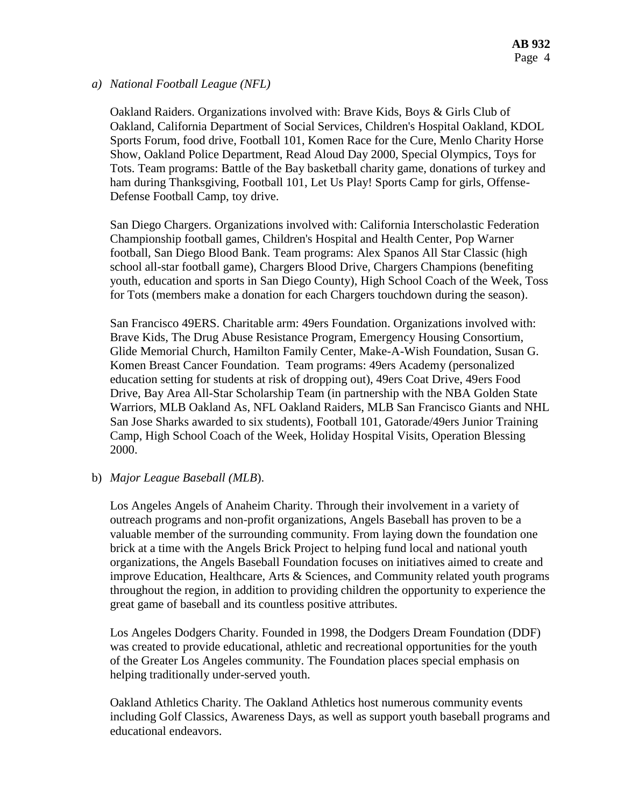#### *a) National Football League (NFL)*

Oakland Raiders. Organizations involved with: Brave Kids, Boys & Girls Club of Oakland, California Department of Social Services, Children's Hospital Oakland, KDOL Sports Forum, food drive, Football 101, Komen Race for the Cure, Menlo Charity Horse Show, Oakland Police Department, Read Aloud Day 2000, Special Olympics, Toys for Tots. Team programs: Battle of the Bay basketball charity game, donations of turkey and ham during Thanksgiving, Football 101, Let Us Play! Sports Camp for girls, Offense-Defense Football Camp, toy drive.

San Diego Chargers. Organizations involved with: California Interscholastic Federation Championship football games, Children's Hospital and Health Center, Pop Warner football, San Diego Blood Bank. Team programs: Alex Spanos All Star Classic (high school all-star football game), Chargers Blood Drive, Chargers Champions (benefiting youth, education and sports in San Diego County), High School Coach of the Week, Toss for Tots (members make a donation for each Chargers touchdown during the season).

San Francisco 49ERS. Charitable arm: 49ers Foundation. Organizations involved with: Brave Kids, The Drug Abuse Resistance Program, Emergency Housing Consortium, Glide Memorial Church, Hamilton Family Center, Make-A-Wish Foundation, Susan G. Komen Breast Cancer Foundation. Team programs: 49ers Academy (personalized education setting for students at risk of dropping out), 49ers Coat Drive, 49ers Food Drive, Bay Area All-Star Scholarship Team (in partnership with the NBA Golden State Warriors, MLB Oakland As, NFL Oakland Raiders, MLB San Francisco Giants and NHL San Jose Sharks awarded to six students), Football 101, Gatorade/49ers Junior Training Camp, High School Coach of the Week, Holiday Hospital Visits, Operation Blessing 2000.

#### b) *Major League Baseball (MLB*).

Los Angeles Angels of Anaheim Charity. Through their involvement in a variety of outreach programs and non-profit organizations, Angels Baseball has proven to be a valuable member of the surrounding community. From laying down the foundation one brick at a time with the Angels Brick Project to helping fund local and national youth organizations, the Angels Baseball Foundation focuses on initiatives aimed to create and improve Education, Healthcare, Arts & Sciences, and Community related youth programs throughout the region, in addition to providing children the opportunity to experience the great game of baseball and its countless positive attributes.

Los Angeles Dodgers Charity. Founded in 1998, the Dodgers Dream Foundation (DDF) was created to provide educational, athletic and recreational opportunities for the youth of the Greater Los Angeles community. The Foundation places special emphasis on helping traditionally under-served youth.

Oakland Athletics Charity. The Oakland Athletics host numerous community events including Golf Classics, Awareness Days, as well as support youth baseball programs and educational endeavors.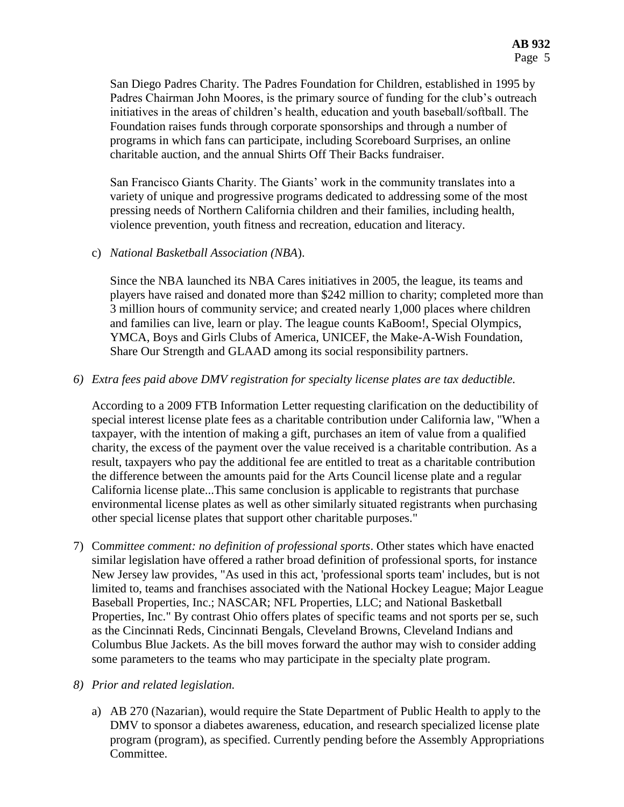San Diego Padres Charity. The Padres Foundation for Children, established in 1995 by Padres Chairman John Moores, is the primary source of funding for the club's outreach initiatives in the areas of children's health, education and youth baseball/softball. The Foundation raises funds through corporate sponsorships and through a number of programs in which fans can participate, including Scoreboard Surprises, an online charitable auction, and the annual Shirts Off Their Backs fundraiser.

San Francisco Giants Charity. The Giants' work in the community translates into a variety of unique and progressive programs dedicated to addressing some of the most pressing needs of Northern California children and their families, including health, violence prevention, youth fitness and recreation, education and literacy.

c) *National Basketball Association (NBA*).

Since the NBA launched its NBA Cares initiatives in 2005, the league, its teams and players have raised and donated more than \$242 million to charity; completed more than 3 million hours of community service; and created nearly 1,000 places where children and families can live, learn or play. The league counts KaBoom!, Special Olympics, YMCA, Boys and Girls Clubs of America, UNICEF, the Make-A-Wish Foundation, Share Our Strength and GLAAD among its social responsibility partners.

*6) Extra fees paid above DMV registration for specialty license plates are tax deductible.*

According to a 2009 FTB Information Letter requesting clarification on the deductibility of special interest license plate fees as a charitable contribution under California law, "When a taxpayer, with the intention of making a gift, purchases an item of value from a qualified charity, the excess of the payment over the value received is a charitable contribution. As a result, taxpayers who pay the additional fee are entitled to treat as a charitable contribution the difference between the amounts paid for the Arts Council license plate and a regular California license plate...This same conclusion is applicable to registrants that purchase environmental license plates as well as other similarly situated registrants when purchasing other special license plates that support other charitable purposes."

7) Co*mmittee comment: no definition of professional sports*. Other states which have enacted similar legislation have offered a rather broad definition of professional sports, for instance New Jersey law provides, "As used in this act, 'professional sports team' includes, but is not limited to, teams and franchises associated with the National Hockey League; Major League Baseball Properties, Inc.; NASCAR; NFL Properties, LLC; and National Basketball Properties, Inc." By contrast Ohio offers plates of specific teams and not sports per se, such as the Cincinnati Reds, Cincinnati Bengals, Cleveland Browns, Cleveland Indians and Columbus Blue Jackets. As the bill moves forward the author may wish to consider adding some parameters to the teams who may participate in the specialty plate program.

## *8) Prior and related legislation.*

a) AB 270 (Nazarian), would require the State Department of Public Health to apply to the DMV to sponsor a diabetes awareness, education, and research specialized license plate program (program), as specified. Currently pending before the Assembly Appropriations Committee.